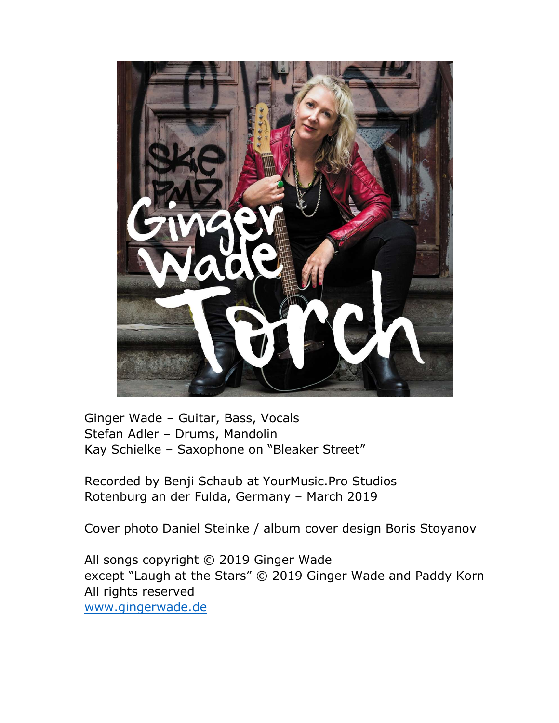

Ginger Wade – Guitar, Bass, Vocals Stefan Adler – Drums, Mandolin Kay Schielke – Saxophone on "Bleaker Street"

Recorded by Benji Schaub at YourMusic.Pro Studios Rotenburg an der Fulda, Germany – March 2019

Cover photo Daniel Steinke / album cover design Boris Stoyanov

All songs copyright © 2019 Ginger Wade except "Laugh at the Stars" © 2019 Ginger Wade and Paddy Korn All rights reserved www.gingerwade.de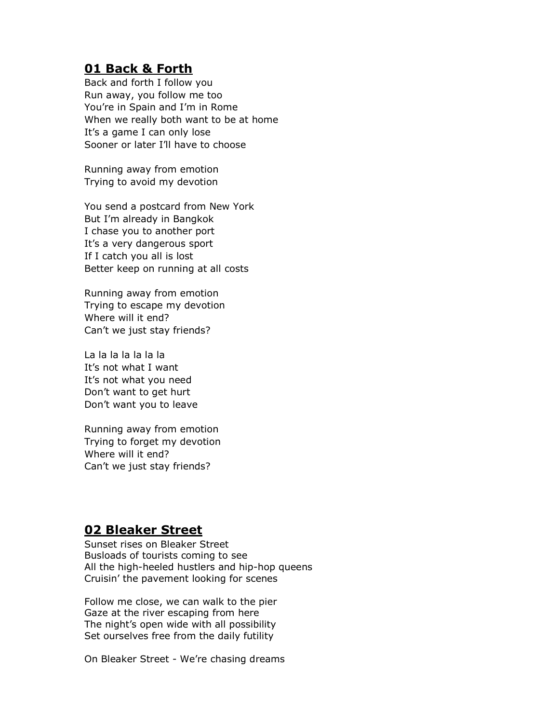# **01 Back & Forth**

Back and forth I follow you Run away, you follow me too You're in Spain and I'm in Rome When we really both want to be at home It's a game I can only lose Sooner or later I'll have to choose

Running away from emotion Trying to avoid my devotion

You send a postcard from New York But I'm already in Bangkok I chase you to another port It's a very dangerous sport If I catch you all is lost Better keep on running at all costs

Running away from emotion Trying to escape my devotion Where will it end? Can't we just stay friends?

La la la la la la la It's not what I want It's not what you need Don't want to get hurt Don't want you to leave

Running away from emotion Trying to forget my devotion Where will it end? Can't we just stay friends?

# 02 Bleaker Street

Sunset rises on Bleaker Street Busloads of tourists coming to see All the high-heeled hustlers and hip-hop queens Cruisin' the pavement looking for scenes

Follow me close, we can walk to the pier Gaze at the river escaping from here The night's open wide with all possibility Set ourselves free from the daily futility

On Bleaker Street - We're chasing dreams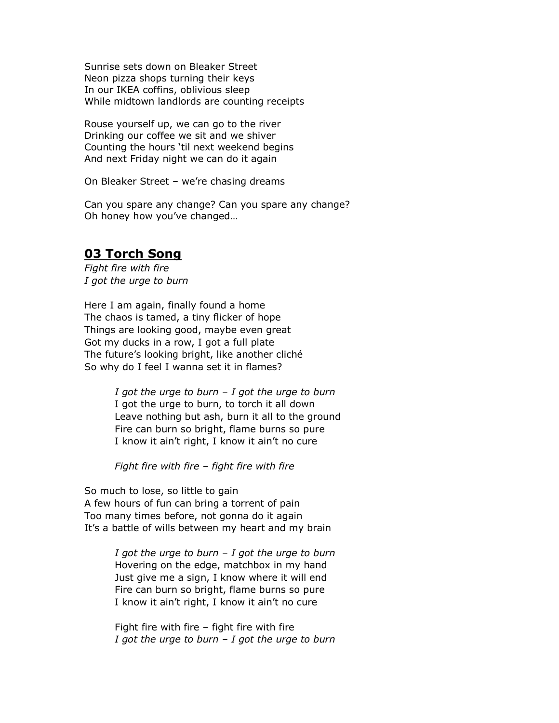Sunrise sets down on Bleaker Street Neon pizza shops turning their keys In our IKEA coffins, oblivious sleep While midtown landlords are counting receipts

Rouse yourself up, we can go to the river Drinking our coffee we sit and we shiver Counting the hours 'til next weekend begins And next Friday night we can do it again

On Bleaker Street – we're chasing dreams

Can you spare any change? Can you spare any change? Oh honey how you've changed…

# 03 Torch Song

Fight fire with fire I got the urge to burn

Here I am again, finally found a home The chaos is tamed, a tiny flicker of hope Things are looking good, maybe even great Got my ducks in a row, I got a full plate The future's looking bright, like another cliché So why do I feel I wanna set it in flames?

> I got the urge to burn  $-I$  got the urge to burn I got the urge to burn, to torch it all down Leave nothing but ash, burn it all to the ground Fire can burn so bright, flame burns so pure I know it ain't right, I know it ain't no cure

Fight fire with fire – fight fire with fire

So much to lose, so little to gain A few hours of fun can bring a torrent of pain Too many times before, not gonna do it again It's a battle of wills between my heart and my brain

> I got the urge to burn  $-I$  got the urge to burn Hovering on the edge, matchbox in my hand Just give me a sign, I know where it will end Fire can burn so bright, flame burns so pure I know it ain't right, I know it ain't no cure

> Fight fire with fire – fight fire with fire I got the urge to burn  $-I$  got the urge to burn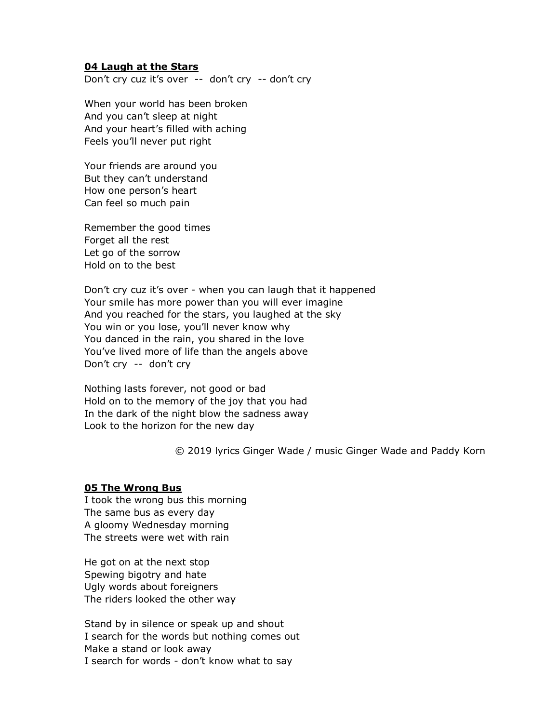## 04 Laugh at the Stars

Don't cry cuz it's over -- don't cry -- don't cry

When your world has been broken And you can't sleep at night And your heart's filled with aching Feels you'll never put right

Your friends are around you But they can't understand How one person's heart Can feel so much pain

Remember the good times Forget all the rest Let go of the sorrow Hold on to the best

Don't cry cuz it's over - when you can laugh that it happened Your smile has more power than you will ever imagine And you reached for the stars, you laughed at the sky You win or you lose, you'll never know why You danced in the rain, you shared in the love You've lived more of life than the angels above Don't cry -- don't cry

Nothing lasts forever, not good or bad Hold on to the memory of the joy that you had In the dark of the night blow the sadness away Look to the horizon for the new day

© 2019 lyrics Ginger Wade / music Ginger Wade and Paddy Korn

#### 05 The Wrong Bus

I took the wrong bus this morning The same bus as every day A gloomy Wednesday morning The streets were wet with rain

He got on at the next stop Spewing bigotry and hate Ugly words about foreigners The riders looked the other way

Stand by in silence or speak up and shout I search for the words but nothing comes out Make a stand or look away I search for words - don't know what to say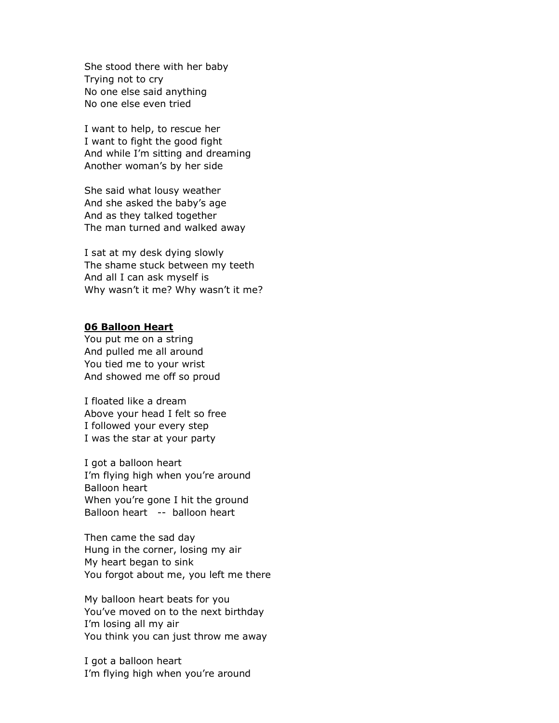She stood there with her baby Trying not to cry No one else said anything No one else even tried

I want to help, to rescue her I want to fight the good fight And while I'm sitting and dreaming Another woman's by her side

She said what lousy weather And she asked the baby's age And as they talked together The man turned and walked away

I sat at my desk dying slowly The shame stuck between my teeth And all I can ask myself is Why wasn't it me? Why wasn't it me?

## 06 Balloon Heart

You put me on a string And pulled me all around You tied me to your wrist And showed me off so proud

I floated like a dream Above your head I felt so free I followed your every step I was the star at your party

I got a balloon heart I'm flying high when you're around Balloon heart When you're gone I hit the ground Balloon heart -- balloon heart

Then came the sad day Hung in the corner, losing my air My heart began to sink You forgot about me, you left me there

My balloon heart beats for you You've moved on to the next birthday I'm losing all my air You think you can just throw me away

I got a balloon heart I'm flying high when you're around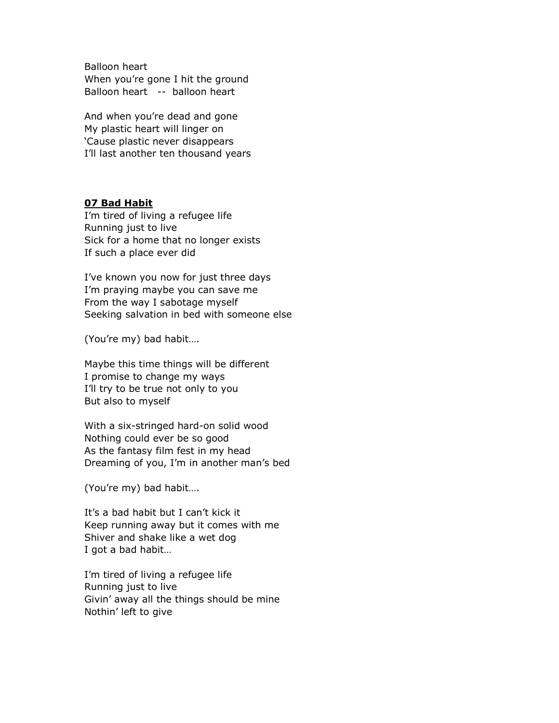Balloon heart When you're gone I hit the ground Balloon heart -- balloon heart

And when you're dead and gone My plastic heart will linger on 'Cause plastic never disappears I'll last another ten thousand years

# 07 Bad Habit

I'm tired of living a refugee life Running just to live Sick for a home that no longer exists If such a place ever did

I've known you now for just three days I'm praying maybe you can save me From the way I sabotage myself Seeking salvation in bed with someone else

(You're my) bad habit….

Maybe this time things will be different I promise to change my ways I'll try to be true not only to you But also to myself

With a six-stringed hard-on solid wood Nothing could ever be so good As the fantasy film fest in my head Dreaming of you, I'm in another man's bed

(You're my) bad habit….

It's a bad habit but I can't kick it Keep running away but it comes with me Shiver and shake like a wet dog I got a bad habit…

I'm tired of living a refugee life Running just to live Givin' away all the things should be mine Nothin' left to give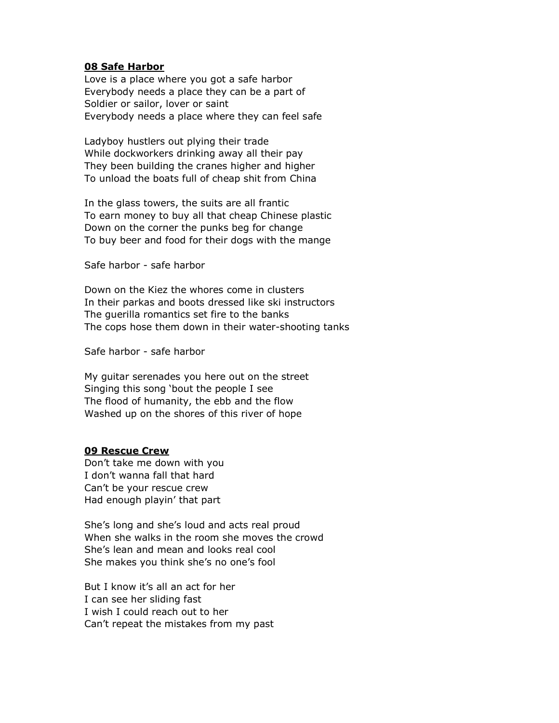## 08 Safe Harbor

Love is a place where you got a safe harbor Everybody needs a place they can be a part of Soldier or sailor, lover or saint Everybody needs a place where they can feel safe

Ladyboy hustlers out plying their trade While dockworkers drinking away all their pay They been building the cranes higher and higher To unload the boats full of cheap shit from China

In the glass towers, the suits are all frantic To earn money to buy all that cheap Chinese plastic Down on the corner the punks beg for change To buy beer and food for their dogs with the mange

Safe harbor - safe harbor

Down on the Kiez the whores come in clusters In their parkas and boots dressed like ski instructors The guerilla romantics set fire to the banks The cops hose them down in their water-shooting tanks

Safe harbor - safe harbor

My guitar serenades you here out on the street Singing this song 'bout the people I see The flood of humanity, the ebb and the flow Washed up on the shores of this river of hope

## 09 Rescue Crew

Don't take me down with you I don't wanna fall that hard Can't be your rescue crew Had enough playin' that part

She's long and she's loud and acts real proud When she walks in the room she moves the crowd She's lean and mean and looks real cool She makes you think she's no one's fool

But I know it's all an act for her I can see her sliding fast I wish I could reach out to her Can't repeat the mistakes from my past